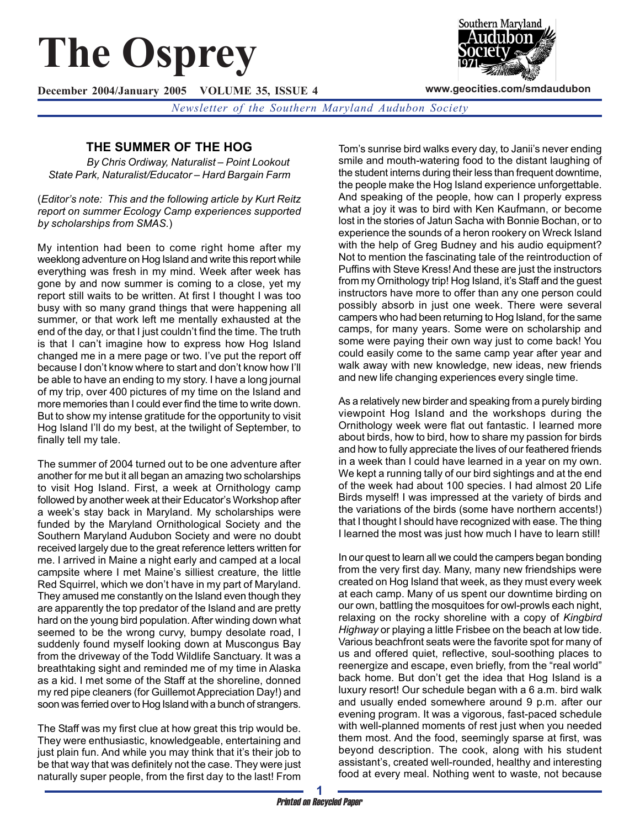# **The Osprey**

**December 2004/January 2005 VOLUME 35, ISSUE 4**

*Newsletter of the Southern Maryland Audubon Society*

# **THE SUMMER OF THE HOG**

*By Chris Ordiway, Naturalist – Point Lookout State Park, Naturalist/Educator – Hard Bargain Farm*

(*Editor's note: This and the following article by Kurt Reitz report on summer Ecology Camp experiences supported by scholarships from SMAS.*)

My intention had been to come right home after my weeklong adventure on Hog Island and write this report while everything was fresh in my mind. Week after week has gone by and now summer is coming to a close, yet my report still waits to be written. At first I thought I was too busy with so many grand things that were happening all summer, or that work left me mentally exhausted at the end of the day, or that I just couldn't find the time. The truth is that I can't imagine how to express how Hog Island changed me in a mere page or two. I've put the report off because I don't know where to start and don't know how I'll be able to have an ending to my story. I have a long journal of my trip, over 400 pictures of my time on the Island and more memories than I could ever find the time to write down. But to show my intense gratitude for the opportunity to visit Hog Island I'll do my best, at the twilight of September, to finally tell my tale.

The summer of 2004 turned out to be one adventure after another for me but it all began an amazing two scholarships to visit Hog Island. First, a week at Ornithology camp followed by another week at their Educator's Workshop after a week's stay back in Maryland. My scholarships were funded by the Maryland Ornithological Society and the Southern Maryland Audubon Society and were no doubt received largely due to the great reference letters written for me. I arrived in Maine a night early and camped at a local campsite where I met Maine's silliest creature, the little Red Squirrel, which we don't have in my part of Maryland. They amused me constantly on the Island even though they are apparently the top predator of the Island and are pretty hard on the young bird population. After winding down what seemed to be the wrong curvy, bumpy desolate road, I suddenly found myself looking down at Muscongus Bay from the driveway of the Todd Wildlife Sanctuary. It was a breathtaking sight and reminded me of my time in Alaska as a kid. I met some of the Staff at the shoreline, donned my red pipe cleaners (for Guillemot Appreciation Day!) and soon was ferried over to Hog Island with a bunch of strangers.

The Staff was my first clue at how great this trip would be. They were enthusiastic, knowledgeable, entertaining and just plain fun. And while you may think that it's their job to be that way that was definitely not the case. They were just naturally super people, from the first day to the last! From

Tom's sunrise bird walks every day, to Janii's never ending smile and mouth-watering food to the distant laughing of the student interns during their less than frequent downtime, the people make the Hog Island experience unforgettable. And speaking of the people, how can I properly express what a joy it was to bird with Ken Kaufmann, or become lost in the stories of Jatun Sacha with Bonnie Bochan, or to experience the sounds of a heron rookery on Wreck Island with the help of Greg Budney and his audio equipment? Not to mention the fascinating tale of the reintroduction of Puffins with Steve Kress! And these are just the instructors from my Ornithology trip! Hog Island, it's Staff and the guest instructors have more to offer than any one person could possibly absorb in just one week. There were several campers who had been returning to Hog Island, for the same camps, for many years. Some were on scholarship and some were paying their own way just to come back! You could easily come to the same camp year after year and walk away with new knowledge, new ideas, new friends and new life changing experiences every single time.

As a relatively new birder and speaking from a purely birding viewpoint Hog Island and the workshops during the Ornithology week were flat out fantastic. I learned more about birds, how to bird, how to share my passion for birds and how to fully appreciate the lives of our feathered friends in a week than I could have learned in a year on my own. We kept a running tally of our bird sightings and at the end of the week had about 100 species. I had almost 20 Life Birds myself! I was impressed at the variety of birds and the variations of the birds (some have northern accents!) that I thought I should have recognized with ease. The thing I learned the most was just how much I have to learn still!

In our quest to learn all we could the campers began bonding from the very first day. Many, many new friendships were created on Hog Island that week, as they must every week at each camp. Many of us spent our downtime birding on our own, battling the mosquitoes for owl-prowls each night, relaxing on the rocky shoreline with a copy of *Kingbird Highway* or playing a little Frisbee on the beach at low tide. Various beachfront seats were the favorite spot for many of us and offered quiet, reflective, soul-soothing places to reenergize and escape, even briefly, from the "real world" back home. But don't get the idea that Hog Island is a luxury resort! Our schedule began with a 6 a.m. bird walk and usually ended somewhere around 9 p.m. after our evening program. It was a vigorous, fast-paced schedule with well-planned moments of rest just when you needed them most. And the food, seemingly sparse at first, was beyond description. The cook, along with his student assistant's, created well-rounded, healthy and interesting food at every meal. Nothing went to waste, not because



**www.geocities.com/smdaudubon**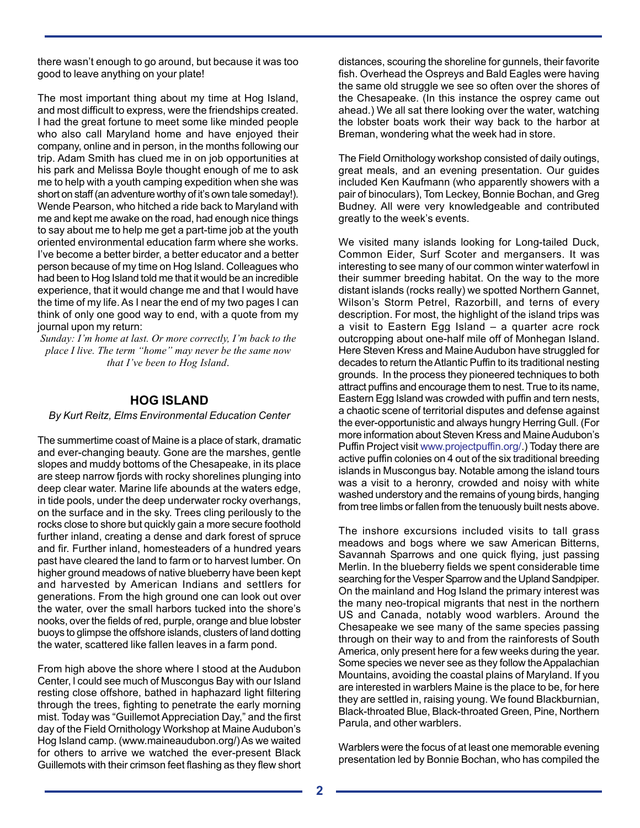there wasn't enough to go around, but because it was too good to leave anything on your plate!

The most important thing about my time at Hog Island, and most difficult to express, were the friendships created. I had the great fortune to meet some like minded people who also call Maryland home and have enjoyed their company, online and in person, in the months following our trip. Adam Smith has clued me in on job opportunities at his park and Melissa Boyle thought enough of me to ask me to help with a youth camping expedition when she was short on staff (an adventure worthy of it's own tale someday!). Wende Pearson, who hitched a ride back to Maryland with me and kept me awake on the road, had enough nice things to say about me to help me get a part-time job at the youth oriented environmental education farm where she works. I've become a better birder, a better educator and a better person because of my time on Hog Island. Colleagues who had been to Hog Island told me that it would be an incredible experience, that it would change me and that I would have the time of my life. As I near the end of my two pages I can think of only one good way to end, with a quote from my journal upon my return:

*Sunday: I'm home at last. Or more correctly, I'm back to the place I live. The term "home" may never be the same now that I've been to Hog Island*.

## **HOG ISLAND**

#### *By Kurt Reitz, Elms Environmental Education Center*

The summertime coast of Maine is a place of stark, dramatic and ever-changing beauty. Gone are the marshes, gentle slopes and muddy bottoms of the Chesapeake, in its place are steep narrow fjords with rocky shorelines plunging into deep clear water. Marine life abounds at the waters edge, in tide pools, under the deep underwater rocky overhangs, on the surface and in the sky. Trees cling perilously to the rocks close to shore but quickly gain a more secure foothold further inland, creating a dense and dark forest of spruce and fir. Further inland, homesteaders of a hundred years past have cleared the land to farm or to harvest lumber. On higher ground meadows of native blueberry have been kept and harvested by American Indians and settlers for generations. From the high ground one can look out over the water, over the small harbors tucked into the shore's nooks, over the fields of red, purple, orange and blue lobster buoys to glimpse the offshore islands, clusters of land dotting the water, scattered like fallen leaves in a farm pond.

From high above the shore where I stood at the Audubon Center, l could see much of Muscongus Bay with our Island resting close offshore, bathed in haphazard light filtering through the trees, fighting to penetrate the early morning mist. Today was "Guillemot Appreciation Day," and the first day of the Field Ornithology Workshop at Maine Audubon's Hog Island camp. (www.maineaudubon.org/) As we waited for others to arrive we watched the ever-present Black Guillemots with their crimson feet flashing as they flew short distances, scouring the shoreline for gunnels, their favorite fish. Overhead the Ospreys and Bald Eagles were having the same old struggle we see so often over the shores of the Chesapeake. (In this instance the osprey came out ahead.) We all sat there looking over the water, watching the lobster boats work their way back to the harbor at Breman, wondering what the week had in store.

The Field Ornithology workshop consisted of daily outings, great meals, and an evening presentation. Our guides included Ken Kaufmann (who apparently showers with a pair of binoculars), Tom Leckey, Bonnie Bochan, and Greg Budney. All were very knowledgeable and contributed greatly to the week's events.

We visited many islands looking for Long-tailed Duck, Common Eider, Surf Scoter and mergansers. It was interesting to see many of our common winter waterfowl in their summer breeding habitat. On the way to the more distant islands (rocks really) we spotted Northern Gannet, Wilson's Storm Petrel, Razorbill, and terns of every description. For most, the highlight of the island trips was a visit to Eastern Egg Island – a quarter acre rock outcropping about one-half mile off of Monhegan Island. Here Steven Kress and Maine Audubon have struggled for decades to return the Atlantic Puffin to its traditional nesting grounds. In the process they pioneered techniques to both attract puffins and encourage them to nest. True to its name, Eastern Egg Island was crowded with puffin and tern nests, a chaotic scene of territorial disputes and defense against the ever-opportunistic and always hungry Herring Gull. (For more information about Steven Kress and Maine Audubon's Puffin Project visit www.projectpuffin.org/.) Today there are active puffin colonies on 4 out of the six traditional breeding islands in Muscongus bay. Notable among the island tours was a visit to a heronry, crowded and noisy with white washed understory and the remains of young birds, hanging from tree limbs or fallen from the tenuously built nests above.

The inshore excursions included visits to tall grass meadows and bogs where we saw American Bitterns, Savannah Sparrows and one quick flying, just passing Merlin. In the blueberry fields we spent considerable time searching for the Vesper Sparrow and the Upland Sandpiper. On the mainland and Hog Island the primary interest was the many neo-tropical migrants that nest in the northern US and Canada, notably wood warblers. Around the Chesapeake we see many of the same species passing through on their way to and from the rainforests of South America, only present here for a few weeks during the year. Some species we never see as they follow the Appalachian Mountains, avoiding the coastal plains of Maryland. If you are interested in warblers Maine is the place to be, for here they are settled in, raising young. We found Blackburnian, Black-throated Blue, Black-throated Green, Pine, Northern Parula, and other warblers.

Warblers were the focus of at least one memorable evening presentation led by Bonnie Bochan, who has compiled the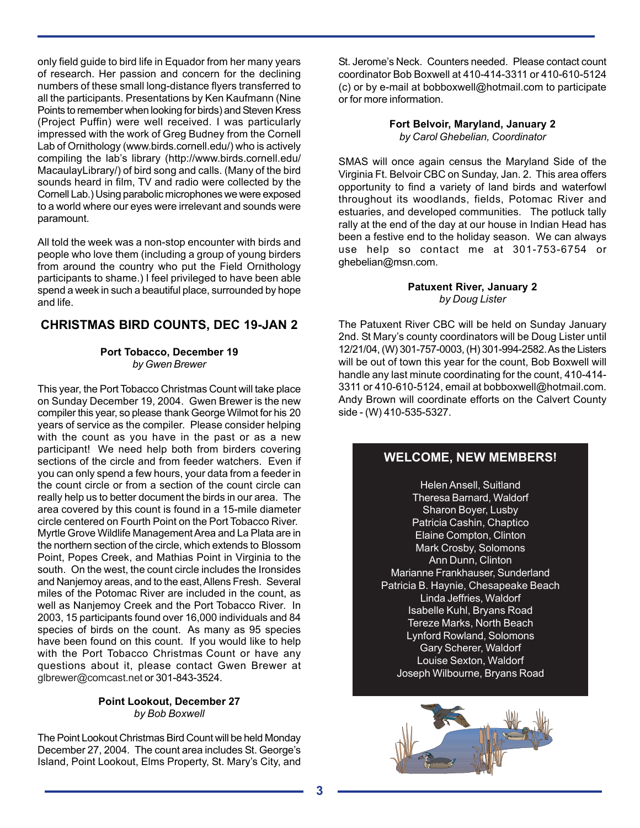only field guide to bird life in Equador from her many years of research. Her passion and concern for the declining numbers of these small long-distance flyers transferred to all the participants. Presentations by Ken Kaufmann (Nine Points to remember when looking for birds) and Steven Kress (Project Puffin) were well received. I was particularly impressed with the work of Greg Budney from the Cornell Lab of Ornithology (www.birds.cornell.edu/) who is actively compiling the lab's library (http://www.birds.cornell.edu/ MacaulayLibrary/) of bird song and calls. (Many of the bird sounds heard in film, TV and radio were collected by the Cornell Lab.) Using parabolic microphones we were exposed to a world where our eyes were irrelevant and sounds were paramount.

All told the week was a non-stop encounter with birds and people who love them (including a group of young birders from around the country who put the Field Ornithology participants to shame.) I feel privileged to have been able spend a week in such a beautiful place, surrounded by hope and life.

## **CHRISTMAS BIRD COUNTS, DEC 19-JAN 2**

#### **Port Tobacco, December 19** *by Gwen Brewer*

This year, the Port Tobacco Christmas Count will take place on Sunday December 19, 2004. Gwen Brewer is the new compiler this year, so please thank George Wilmot for his 20 years of service as the compiler. Please consider helping with the count as you have in the past or as a new participant! We need help both from birders covering sections of the circle and from feeder watchers. Even if you can only spend a few hours, your data from a feeder in the count circle or from a section of the count circle can really help us to better document the birds in our area. The area covered by this count is found in a 15-mile diameter circle centered on Fourth Point on the Port Tobacco River. Myrtle Grove Wildlife Management Area and La Plata are in the northern section of the circle, which extends to Blossom Point, Popes Creek, and Mathias Point in Virginia to the south. On the west, the count circle includes the Ironsides and Nanjemoy areas, and to the east, Allens Fresh. Several miles of the Potomac River are included in the count, as well as Nanjemoy Creek and the Port Tobacco River. In 2003, 15 participants found over 16,000 individuals and 84 species of birds on the count. As many as 95 species have been found on this count. If you would like to help with the Port Tobacco Christmas Count or have any questions about it, please contact Gwen Brewer at glbrewer@comcast.net or 301-843-3524.

#### **Point Lookout, December 27** *by Bob Boxwell*

The Point Lookout Christmas Bird Count will be held Monday December 27, 2004. The count area includes St. George's Island, Point Lookout, Elms Property, St. Mary's City, and

St. Jerome's Neck. Counters needed. Please contact count coordinator Bob Boxwell at 410-414-3311 or 410-610-5124 (c) or by e-mail at bobboxwell@hotmail.com to participate or for more information.

> **Fort Belvoir, Maryland, January 2** *by Carol Ghebelian, Coordinator*

SMAS will once again census the Maryland Side of the Virginia Ft. Belvoir CBC on Sunday, Jan. 2. This area offers opportunity to find a variety of land birds and waterfowl throughout its woodlands, fields, Potomac River and estuaries, and developed communities. The potluck tally rally at the end of the day at our house in Indian Head has been a festive end to the holiday season. We can always use help so contact me at 301-753-6754 or ghebelian@msn.com.

### **Patuxent River, January 2** *by Doug Lister*

The Patuxent River CBC will be held on Sunday January 2nd. St Mary's county coordinators will be Doug Lister until 12/21/04, (W) 301-757-0003, (H) 301-994-2582. As the Listers will be out of town this year for the count, Bob Boxwell will handle any last minute coordinating for the count, 410-414- 3311 or 410-610-5124, email at bobboxwell@hotmail.com. Andy Brown will coordinate efforts on the Calvert County side - (W) 410-535-5327.

# **WELCOME, NEW MEMBERS!**

Helen Ansell, Suitland Theresa Barnard, Waldorf Sharon Boyer, Lusby Patricia Cashin, Chaptico Elaine Compton, Clinton Mark Crosby, Solomons Ann Dunn, Clinton Marianne Frankhauser, Sunderland Patricia B. Haynie, Chesapeake Beach Linda Jeffries, Waldorf Isabelle Kuhl, Bryans Road Tereze Marks, North Beach Lynford Rowland, Solomons Gary Scherer, Waldorf Louise Sexton, Waldorf Joseph Wilbourne, Bryans Road

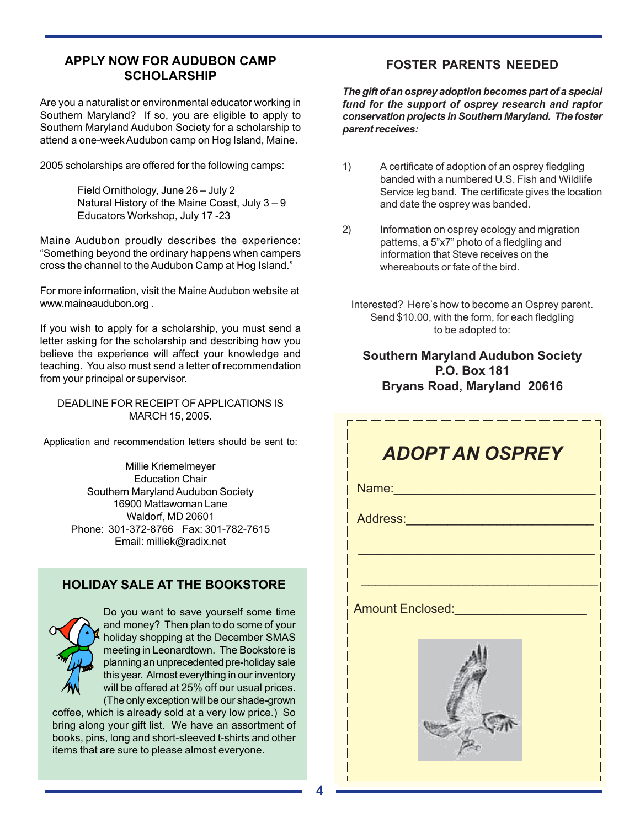## **APPLY NOW FOR AUDUBON CAMP SCHOLARSHIP**

Are you a naturalist or environmental educator working in Southern Maryland? If so, you are eligible to apply to Southern Maryland Audubon Society for a scholarship to attend a one-week Audubon camp on Hog Island, Maine.

2005 scholarships are offered for the following camps:

Field Ornithology, June 26 – July 2 Natural History of the Maine Coast, July 3 – 9 Educators Workshop, July 17 -23

Maine Audubon proudly describes the experience: "Something beyond the ordinary happens when campers cross the channel to the Audubon Camp at Hog Island."

For more information, visit the Maine Audubon website at www.maineaudubon.org .

If you wish to apply for a scholarship, you must send a letter asking for the scholarship and describing how you believe the experience will affect your knowledge and teaching. You also must send a letter of recommendation from your principal or supervisor.

DEADLINE FOR RECEIPT OF APPLICATIONS IS MARCH 15, 2005.

Application and recommendation letters should be sent to:

Millie Kriemelmeyer Education Chair Southern Maryland Audubon Society 16900 Mattawoman Lane Waldorf, MD 20601 Phone: 301-372-8766 Fax: 301-782-7615 Email: milliek@radix.net

# **HOLIDAY SALE AT THE BOOKSTORE**



Do you want to save yourself some time and money? Then plan to do some of your holiday shopping at the December SMAS meeting in Leonardtown. The Bookstore is planning an unprecedented pre-holiday sale this year. Almost everything in our inventory will be offered at 25% off our usual prices. (The only exception will be our shade-grown

coffee, which is already sold at a very low price.) So bring along your gift list. We have an assortment of books, pins, long and short-sleeved t-shirts and other items that are sure to please almost everyone.

## **FOSTER PARENTS NEEDED**

*The gift of an osprey adoption becomes part of a special fund for the support of osprey research and raptor conservation projects in Southern Maryland. The foster parent receives:*

- 1) A certificate of adoption of an osprey fledgling banded with a numbered U.S. Fish and Wildlife Service leg band. The certificate gives the location and date the osprey was banded.
- 2) Information on osprey ecology and migration patterns, a 5"x7" photo of a fledgling and information that Steve receives on the whereabouts or fate of the bird.
	- Interested? Here's how to become an Osprey parent. Send \$10.00, with the form, for each fledgling to be adopted to:

# **Southern Maryland Audubon Society P.O. Box 181 Bryans Road, Maryland 20616**

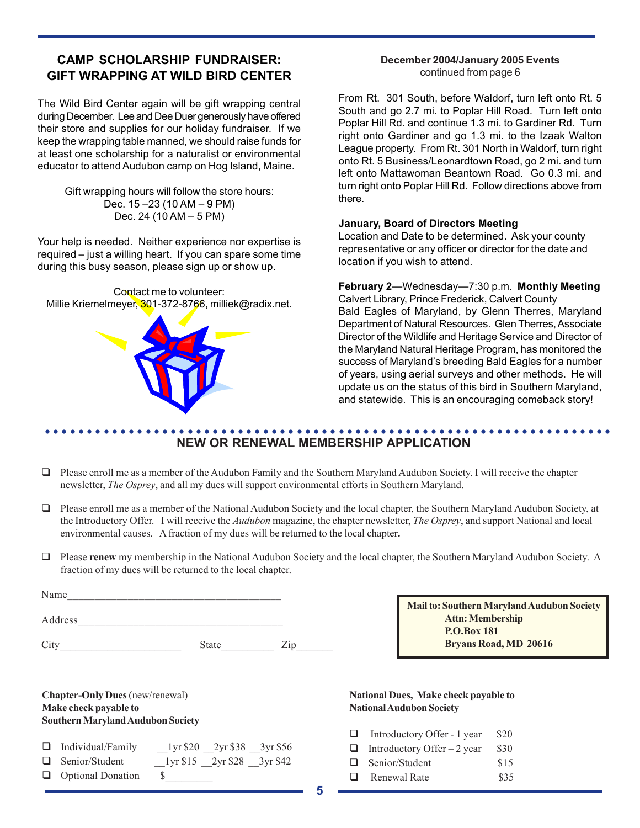# **CAMP SCHOLARSHIP FUNDRAISER: GIFT WRAPPING AT WILD BIRD CENTER**

The Wild Bird Center again will be gift wrapping central during December. Lee and Dee Duer generously have offered their store and supplies for our holiday fundraiser. If we keep the wrapping table manned, we should raise funds for at least one scholarship for a naturalist or environmental educator to attend Audubon camp on Hog Island, Maine.

Gift wrapping hours will follow the store hours: Dec. 15 –23 (10 AM – 9 PM) Dec. 24 (10 AM – 5 PM)

Your help is needed. Neither experience nor expertise is required – just a willing heart. If you can spare some time during this busy season, please sign up or show up.

Contact me to volunteer: Millie Kriemelmeyer, 301-372-8766, milliek@radix.net.



## **December 2004/January 2005 Events** continued from page 6

From Rt. 301 South, before Waldorf, turn left onto Rt. 5 South and go 2.7 mi. to Poplar Hill Road. Turn left onto Poplar Hill Rd. and continue 1.3 mi. to Gardiner Rd. Turn right onto Gardiner and go 1.3 mi. to the Izaak Walton League property. From Rt. 301 North in Waldorf, turn right onto Rt. 5 Business/Leonardtown Road, go 2 mi. and turn left onto Mattawoman Beantown Road. Go 0.3 mi. and turn right onto Poplar Hill Rd. Follow directions above from there.

#### **January, Board of Directors Meeting**

Location and Date to be determined. Ask your county representative or any officer or director for the date and location if you wish to attend.

#### **February 2**—Wednesday—7:30 p.m. **Monthly Meeting**

Calvert Library, Prince Frederick, Calvert County Bald Eagles of Maryland, by Glenn Therres, Maryland Department of Natural Resources. Glen Therres, Associate Director of the Wildlife and Heritage Service and Director of the Maryland Natural Heritage Program, has monitored the success of Maryland's breeding Bald Eagles for a number of years, using aerial surveys and other methods. He will update us on the status of this bird in Southern Maryland, and statewide. This is an encouraging comeback story!

#### ○○○○○○○○○○○○○○○○○○○○○○○○○○○○○○○○○○○○○○○○○○○○○ ○○○○○○○○○○○○○○○○○○○○○○○ **NEW OR RENEWAL MEMBERSHIP APPLICATION**

- $\Box$  Please enroll me as a member of the Audubon Family and the Southern Maryland Audubon Society. I will receive the chapter newsletter, *The Osprey*, and all my dues will support environmental efforts in Southern Maryland.
- Please enroll me as a member of the National Audubon Society and the local chapter, the Southern Maryland Audubon Society, at the Introductory Offer.I will receive the *Audubon* magazine, the chapter newsletter, *The Osprey*, and support National and local environmental causes. A fraction of my dues will be returned to the local chapter**.**
- Please **renew** my membership in the National Audubon Society and the local chapter, the Southern Maryland Audubon Society. A fraction of my dues will be returned to the local chapter.

| Name    |              |  |  |
|---------|--------------|--|--|
| Address |              |  |  |
|         | <b>State</b> |  |  |

**Mail to: Southern Maryland Audubon Society Attn: Membership P.O.Box 181 Bryans Road, MD 20616**

| <b>Chapter-Only Dues</b> (new/renewal)   |  |
|------------------------------------------|--|
| Make check payable to                    |  |
| <b>Southern Maryland Audubon Society</b> |  |

| $\Box$ Individual/Family                                                                                                                                                                                                                                                                                                                                                                                                                                                        | $_{2}$ lyr \$20 $_{2}$ yr \$38 $_{3}$ yr \$56 |  |
|---------------------------------------------------------------------------------------------------------------------------------------------------------------------------------------------------------------------------------------------------------------------------------------------------------------------------------------------------------------------------------------------------------------------------------------------------------------------------------|-----------------------------------------------|--|
| $\overline{\phantom{a}}$ $\overline{\phantom{a}}$ $\overline{\phantom{a}}$ $\overline{\phantom{a}}$ $\overline{\phantom{a}}$ $\overline{\phantom{a}}$ $\overline{\phantom{a}}$ $\overline{\phantom{a}}$ $\overline{\phantom{a}}$ $\overline{\phantom{a}}$ $\overline{\phantom{a}}$ $\overline{\phantom{a}}$ $\overline{\phantom{a}}$ $\overline{\phantom{a}}$ $\overline{\phantom{a}}$ $\overline{\phantom{a}}$ $\overline{\phantom{a}}$ $\overline{\phantom{a}}$ $\overline{\$ |                                               |  |

Senior/Student 1yr \$15 2yr \$28 3yr \$42

Optional Donation \$\_\_\_\_\_\_\_\_\_

#### **National Dues, Make check payable to National Audubon Society**

|   | $\Box$ Introductory Offer - 1 year | \$20 |
|---|------------------------------------|------|
|   | $\Box$ Introductory Offer – 2 year | \$30 |
|   | $\Box$ Senior/Student              | \$15 |
| ⊔ | Renewal Rate                       | \$35 |